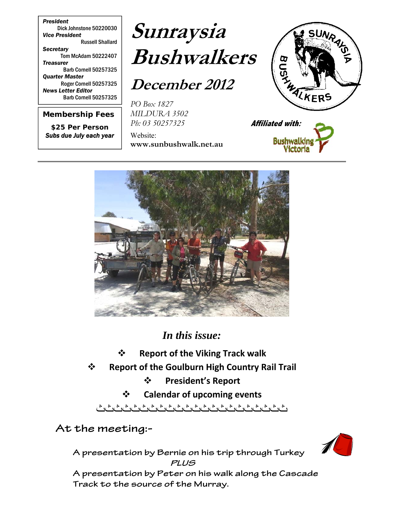*President* Dick Johnstone 50220030 *Vice President*  Russell Shallard *Secretary*  Tom McAdam 50222407 *Treasurer*  Barb Cornell 50257325 *Quarter Master*  Roger Cornell 50257325 *News Letter Editor*  Barb Cornell 50257325

*Membership Fees* 

*\$25 Per Person Subs due July each year*

# **Sunraysia Bushwalkers**

**December 2012** 

*PO Box 1827 MILDURA 3502 Ph: 03 50257325*

Website: **www.sunbushwalk.net.au** 







*In this issue:*

- **Report of the Viking Track walk**
- **Report of the Goulburn High Country Rail Trail**
	- **President's Report**
	- **Calendar of upcoming events**

ثثثثثثثثثثثثثثثثثثثثثث

**At the meeting:-** 

**A presentation by Bernie on his trip through Turkey PLUS** 

**A presentation by Peter on his walk along the Cascade Track to the source of the Murray.**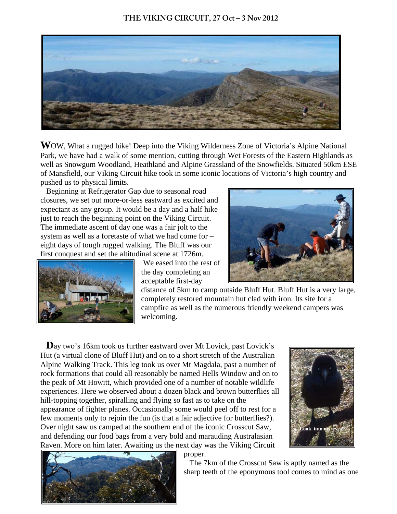### **THE VIKING CIRCUIT, 27 Oct – 3 Nov 2012**



**W**OW, What a rugged hike! Deep into the Viking Wilderness Zone of Victoria's Alpine National Park, we have had a walk of some mention, cutting through Wet Forests of the Eastern Highlands as well as Snowgum Woodland, Heathland and Alpine Grassland of the Snowfields. Situated 50km ESE of Mansfield, our Viking Circuit hike took in some iconic locations of Victoria's high country and pushed us to physical limits.

 Beginning at Refrigerator Gap due to seasonal road closures, we set out more-or-less eastward as excited and expectant as any group. It would be a day and a half hike just to reach the beginning point on the Viking Circuit. The immediate ascent of day one was a fair jolt to the system as well as a foretaste of what we had come for – eight days of tough rugged walking. The Bluff was our first conquest and set the altitudinal scene at 1726m.



 We eased into the rest of the day completing an acceptable first-day

distance of 5km to camp outside Bluff Hut. Bluff Hut is a very large, completely restored mountain hut clad with iron. Its site for a campfire as well as the numerous friendly weekend campers was welcoming.

Day two's 16km took us further eastward over Mt Lovick, past Lovick's Hut (a virtual clone of Bluff Hut) and on to a short stretch of the Australian Alpine Walking Track. This leg took us over Mt Magdala, past a number of rock formations that could all reasonably be named Hells Window and on to the peak of Mt Howitt, which provided one of a number of notable wildlife experiences. Here we observed about a dozen black and brown butterflies all hill-topping together, spiralling and flying so fast as to take on the appearance of fighter planes. Occasionally some would peel off to rest for a few moments only to rejoin the fun (is that a fair adjective for butterflies?). Over night saw us camped at the southern end of the iconic Crosscut Saw, and defending our food bags from a very bold and marauding Australasian Raven. More on him later. Awaiting us the next day was the Viking Circuit





proper.

 The 7km of the Crosscut Saw is aptly named as the sharp teeth of the eponymous tool comes to mind as one

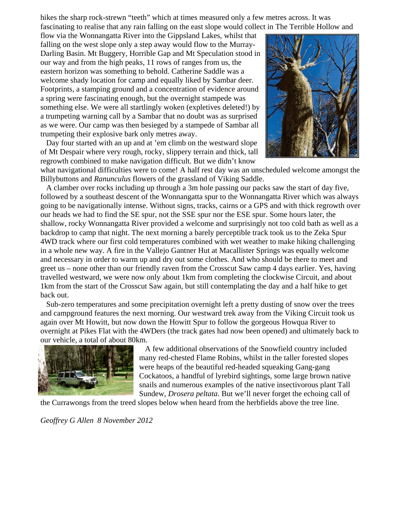hikes the sharp rock-strewn "teeth" which at times measured only a few metres across. It was fascinating to realise that any rain falling on the east slope would collect in The Terrible Hollow and

flow via the Wonnangatta River into the Gippsland Lakes, whilst that falling on the west slope only a step away would flow to the Murray-Darling Basin. Mt Buggery, Horrible Gap and Mt Speculation stood in our way and from the high peaks, 11 rows of ranges from us, the eastern horizon was something to behold. Catherine Saddle was a welcome shady location for camp and equally liked by Sambar deer. Footprints, a stamping ground and a concentration of evidence around a spring were fascinating enough, but the overnight stampede was something else. We were all startlingly woken (expletives deleted!) by a trumpeting warning call by a Sambar that no doubt was as surprised as we were. Our camp was then besieged by a stampede of Sambar all trumpeting their explosive bark only metres away.

 Day four started with an up and at 'em climb on the westward slope of Mt Despair where very rough, rocky, slippery terrain and thick, tall regrowth combined to make navigation difficult. But we didn't know



what navigational difficulties were to come! A half rest day was an unscheduled welcome amongst the Billybuttons and *Ranunculus* flowers of the grassland of Viking Saddle.

 A clamber over rocks including up through a 3m hole passing our packs saw the start of day five, followed by a southeast descent of the Wonnangatta spur to the Wonnangatta River which was always going to be navigationally intense. Without signs, tracks, cairns or a GPS and with thick regrowth over our heads we had to find the SE spur, not the SSE spur nor the ESE spur. Some hours later, the shallow, rocky Wonnangatta River provided a welcome and surprisingly not too cold bath as well as a backdrop to camp that night. The next morning a barely perceptible track took us to the Zeka Spur 4WD track where our first cold temperatures combined with wet weather to make hiking challenging in a whole new way. A fire in the Vallejo Gantner Hut at Macallister Springs was equally welcome and necessary in order to warm up and dry out some clothes. And who should be there to meet and greet us – none other than our friendly raven from the Crosscut Saw camp 4 days earlier. Yes, having travelled westward, we were now only about 1km from completing the clockwise Circuit, and about 1km from the start of the Crosscut Saw again, but still contemplating the day and a half hike to get back out.

 Sub-zero temperatures and some precipitation overnight left a pretty dusting of snow over the trees and campground features the next morning. Our westward trek away from the Viking Circuit took us again over Mt Howitt, but now down the Howitt Spur to follow the gorgeous Howqua River to overnight at Pikes Flat with the 4WDers (the track gates had now been opened) and ultimately back to our vehicle, a total of about 80km.



 A few additional observations of the Snowfield country included many red-chested Flame Robins, whilst in the taller forested slopes were heaps of the beautiful red-headed squeaking Gang-gang Cockatoos, a handful of lyrebird sightings, some large brown native snails and numerous examples of the native insectivorous plant Tall Sundew, *Drosera peltata*. But we'll never forget the echoing call of

the Currawongs from the treed slopes below when heard from the herbfields above the tree line.

*Geoffrey G Allen 8 November 2012*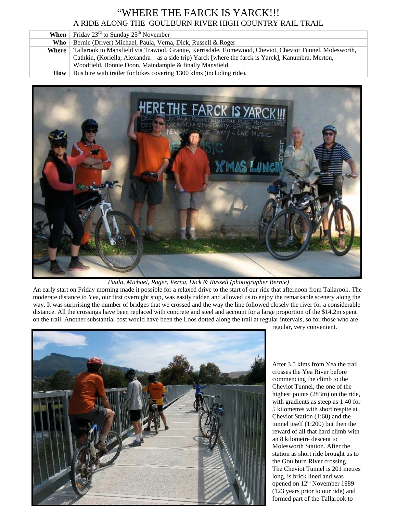# "WHERE THE FARCK IS YARCK!!! A RIDE ALONG THE GOULBURN RIVER HIGH COUNTRY RAIL TRAIL

| When  | Friday $23^{\text{rd}}$ to Sunday $25^{\text{th}}$ November                                             |  |
|-------|---------------------------------------------------------------------------------------------------------|--|
| Who   | Bernie (Driver) Michael, Paula, Verna, Dick, Russell & Roger                                            |  |
| Where | Tallarook to Mansfield via Trawool, Granite, Kerrisdale, Homewood, Cheviot, Cheviot Tunnel, Molesworth, |  |
|       | Cathkin, (Koriella, Alexandra – as a side trip) Yarck [where the farck is Yarck], Kanumbra, Merton,     |  |
|       | Woodfield, Bonnie Doon, Maindample & finally Mansfield.                                                 |  |
| How   | Bus hire with trailer for bikes covering 1300 klms (including ride).                                    |  |



*Paula, Michael, Roger, Verna, Dick & Russell (photographer Bernie)*

An early start on Friday morning made it possible for a relaxed drive to the start of our ride that afternoon from Tallarook. The moderate distance to Yea, our first overnight stop, was easily ridden and allowed us to enjoy the remarkable scenery along the way. It was surprising the number of bridges that we crossed and the way the line followed closely the river for a considerable distance. All the crossings have been replaced with concrete and steel and account for a large proportion of the \$14.2m spent on the trail. Another substantial cost would have been the Loos dotted along the trail at regular intervals, so for those who are



regular, very convenient.

After 3.5 klms from Yea the trail crosses the Yea River before commencing the climb to the Cheviot Tunnel, the one of the highest points (283m) on the ride, with gradients as steep as 1:40 for 5 kilometres with short respite at Cheviot Station (1:60) and the tunnel itself (1:200) but then the reward of all that hard climb with an 8 kilometre descent to Molesworth Station. After the station as short ride brought us to the Goulburn River crossing. The Cheviot Tunnel is 201 metres long, is brick lined and was opened on 12<sup>th</sup> November 1889 (123 years prior to our ride) and formed part of the Tallarook to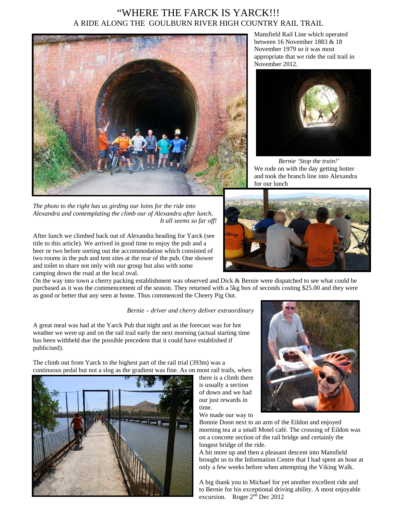## "WHERE THE FARCK IS YARCK!!! A RIDE ALONG THE GOULBURN RIVER HIGH COUNTRY RAIL TRAIL



*The photo to the right has us girding our loins for the ride into Alexandra and contemplating the climb our of Alexandra after lunch. It all seems so far off!*

After lunch we climbed back out of Alexandra heading for Yarck (see title to this article). We arrived in good time to enjoy the pub and a beer or two before sorting out the accommodation which consisted of two rooms in the pub and tent sites at the rear of the pub. One shower and toilet to share not only with our group but also with some camping down the road at the local oval.

On the way into town a cherry packing establishment was observed and Dick & Bernie were dispatched to see what could be purchased as it was the commencement of the season. They returned with a 5kg box of seconds costing \$25.00 and they were as good or better that any seen at home. Thus commenced the Cheery Pig Out.

#### *Bernie – driver and cherry deliver extraordinary*

A great meal was had at the Yarck Pub that night and as the forecast was for hot weather we were up and on the rail trail early the next morning (actual starting time has been withheld due the possible precedent that it could have established if publicised).

The climb out from Yarck to the highest part of the rail trial (393m) was a continuous pedal but not a slog as the gradient was fine. As on most rail trails, when



there is a climb there is usually a section of down and we had our just rewards in time. We made our way to



Bonnie Doon next to an arm of the Eildon and enjoyed morning tea at a small Motel café. The crossing of Eildon was on a concrete section of the rail bridge and certainly the longest bridge of the ride.

A bit more up and then a pleasant descent into Mansfield brought us to the Information Centre that I had spent an hour at only a few weeks before when attempting the Viking Walk.

A big thank you to Michael for yet another excellent ride and to Bernie for his exceptional driving ability. A most enjoyable excursion. Roger  $2<sup>n</sup>$  Dec 2012

Mansfield Rail Line which operated between 16 November 1883 & 18 November 1979 so it was most appropriate that we ride the rail trail in November 2012.



*Bernie 'Stop the train!'* We rode on with the day getting hotter and took the branch line into Alexandra for our lunch

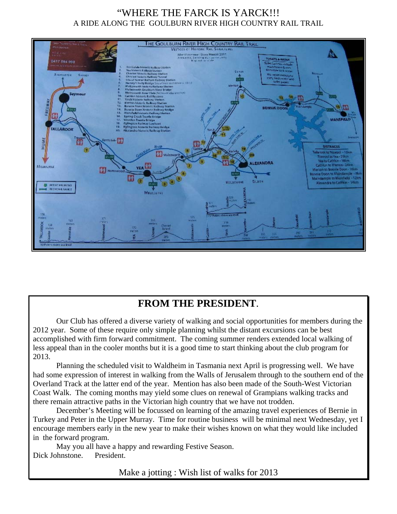# "WHERE THE FARCK IS YARCK!!! A RIDE ALONG THE GOULBURN RIVER HIGH COUNTRY RAIL TRAIL



# **FROM THE PRESIDENT**.

Our Club has offered a diverse variety of walking and social opportunities for members during the 2012 year. Some of these require only simple planning whilst the distant excursions can be best accomplished with firm forward commitment. The coming summer renders extended local walking of less appeal than in the cooler months but it is a good time to start thinking about the club program for 2013.

Planning the scheduled visit to Waldheim in Tasmania next April is progressing well. We have had some expression of interest in walking from the Walls of Jerusalem through to the southern end of the Overland Track at the latter end of the year. Mention has also been made of the South-West Victorian Coast Walk. The coming months may yield some clues on renewal of Grampians walking tracks and there remain attractive paths in the Victorian high country that we have not trodden.

December's Meeting will be focussed on learning of the amazing travel experiences of Bernie in Turkey and Peter in the Upper Murray. Time for routine business will be minimal next Wednesday, yet I encourage members early in the new year to make their wishes known on what they would like included in the forward program.

May you all have a happy and rewarding Festive Season. Dick Johnstone. President.

Make a jotting : Wish list of walks for 2013